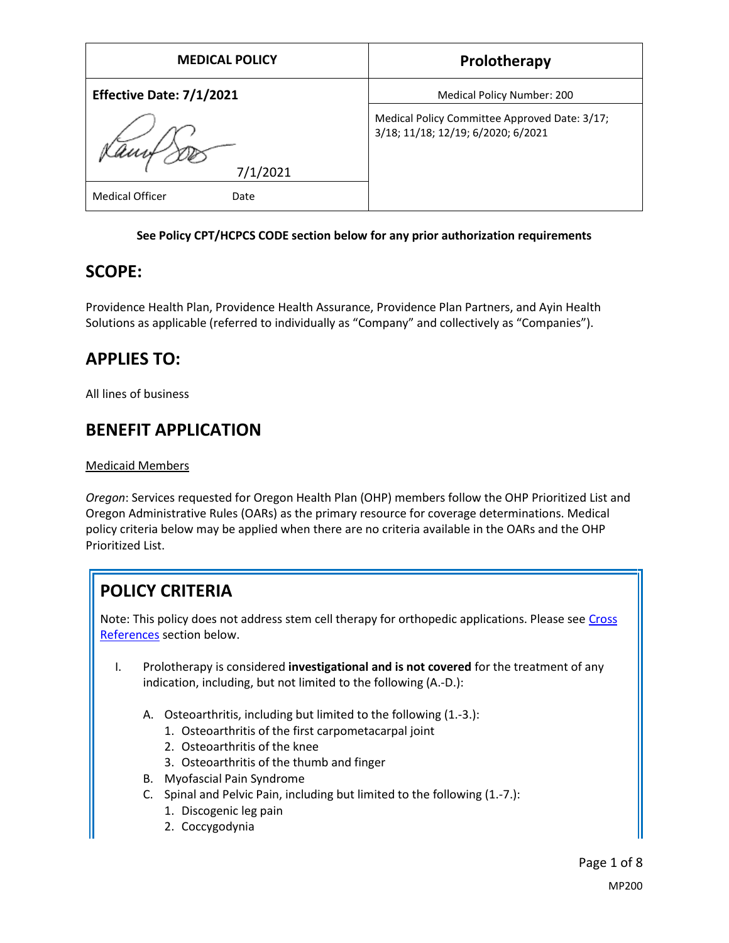| <b>MEDICAL POLICY</b>          | Prolotherapy                                                                        |
|--------------------------------|-------------------------------------------------------------------------------------|
| Effective Date: 7/1/2021       | Medical Policy Number: 200                                                          |
|                                | Medical Policy Committee Approved Date: 3/17;<br>3/18; 11/18; 12/19; 6/2020; 6/2021 |
| 7/1/2021                       |                                                                                     |
| <b>Medical Officer</b><br>Date |                                                                                     |

#### **See Policy CPT/HCPCS CODE section below for any prior authorization requirements**

## **SCOPE:**

Providence Health Plan, Providence Health Assurance, Providence Plan Partners, and Ayin Health Solutions as applicable (referred to individually as "Company" and collectively as "Companies").

## **APPLIES TO:**

All lines of business

## **BENEFIT APPLICATION**

Medicaid Members

*Oregon*: Services requested for Oregon Health Plan (OHP) members follow the OHP Prioritized List and Oregon Administrative Rules (OARs) as the primary resource for coverage determinations. Medical policy criteria below may be applied when there are no criteria available in the OARs and the OHP Prioritized List.

# **POLICY CRITERIA**

Note: This policy does not address stem cell therapy for orthopedic applications. Please see Cross [References](#page-5-0) section below.

- I. Prolotherapy is considered **investigational and is not covered** for the treatment of any indication, including, but not limited to the following (A.-D.):
	- A. Osteoarthritis, including but limited to the following (1.-3.):
		- 1. Osteoarthritis of the first carpometacarpal joint
		- 2. Osteoarthritis of the knee
		- 3. Osteoarthritis of the thumb and finger
	- B. Myofascial Pain Syndrome
	- C. Spinal and Pelvic Pain, including but limited to the following (1.-7.):
		- 1. Discogenic leg pain
		- 2. Coccygodynia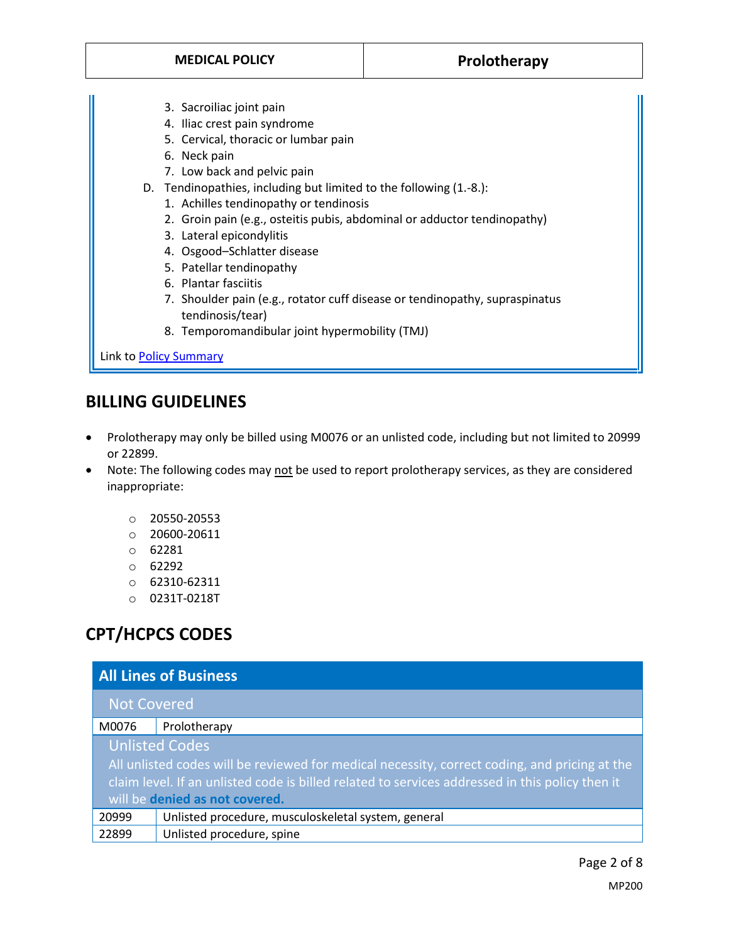- 3. Sacroiliac joint pain
- 4. Iliac crest pain syndrome
- 5. Cervical, thoracic or lumbar pain
- 6. Neck pain
- 7. Low back and pelvic pain
- D. Tendinopathies, including but limited to the following (1.-8.):
	- 1. Achilles tendinopathy or tendinosis
	- 2. Groin pain (e.g., osteitis pubis, abdominal or adductor tendinopathy)
	- 3. Lateral epicondylitis
	- 4. Osgood–Schlatter disease
	- 5. Patellar tendinopathy
	- 6. Plantar fasciitis
	- 7. Shoulder pain (e.g., rotator cuff disease or tendinopathy, supraspinatus tendinosis/tear)
	- 8. Temporomandibular joint hypermobility (TMJ)

Link t[o Policy Summary](#page-4-0)

## **BILLING GUIDELINES**

- Prolotherapy may only be billed using M0076 or an unlisted code, including but not limited to 20999 or 22899.
- Note: The following codes may not be used to report prolotherapy services, as they are considered inappropriate:
	- o 20550-20553
	- o 20600-20611
	- o 62281
	- o 62292
	- o 62310-62311
	- o 0231T-0218T

## **CPT/HCPCS CODES**

| <b>All Lines of Business</b>                                                                                                                                                                                                                                |                                                     |
|-------------------------------------------------------------------------------------------------------------------------------------------------------------------------------------------------------------------------------------------------------------|-----------------------------------------------------|
| <b>Not Covered</b>                                                                                                                                                                                                                                          |                                                     |
| M0076                                                                                                                                                                                                                                                       | Prolotherapy                                        |
| <b>Unlisted Codes</b><br>All unlisted codes will be reviewed for medical necessity, correct coding, and pricing at the<br>claim level. If an unlisted code is billed related to services addressed in this policy then it<br>will be denied as not covered. |                                                     |
| 20999                                                                                                                                                                                                                                                       | Unlisted procedure, musculoskeletal system, general |
| 22899                                                                                                                                                                                                                                                       | Unlisted procedure, spine                           |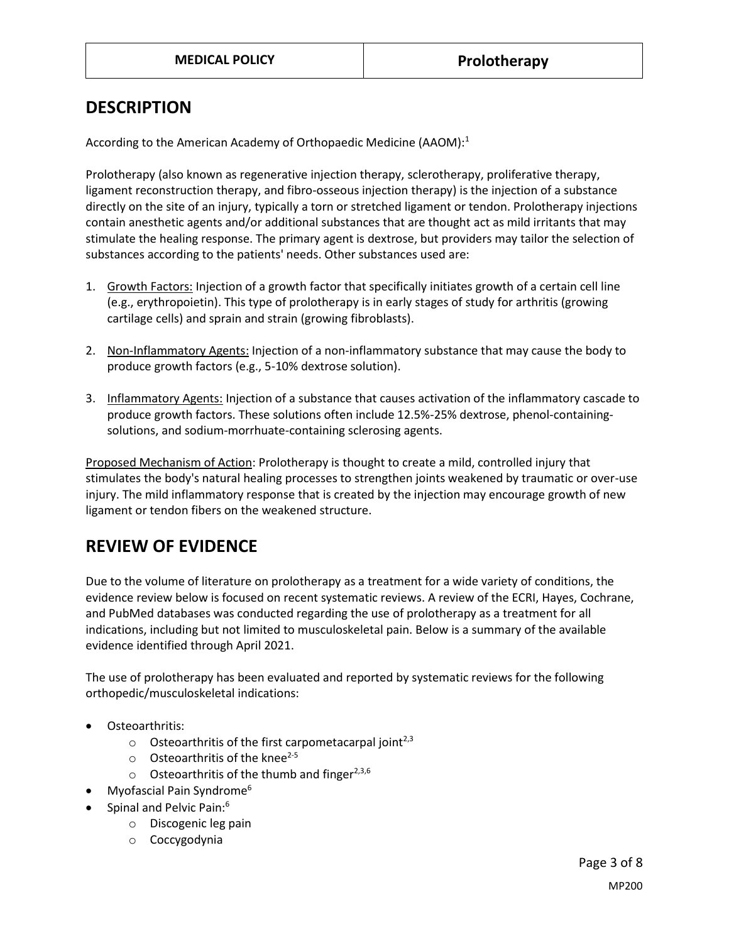### **DESCRIPTION**

According to the American Academy of Orthopaedic Medicine (AAOM):<sup>1</sup>

Prolotherapy (also known as regenerative injection therapy, sclerotherapy, proliferative therapy, ligament reconstruction therapy, and fibro-osseous injection therapy) is the injection of a substance directly on the site of an injury, typically a torn or stretched ligament or tendon. Prolotherapy injections contain anesthetic agents and/or additional substances that are thought act as mild irritants that may stimulate the healing response. The primary agent is dextrose, but providers may tailor the selection of substances according to the patients' needs. Other substances used are:

- 1. Growth Factors: Injection of a growth factor that specifically initiates growth of a certain cell line (e.g., erythropoietin). This type of prolotherapy is in early stages of study for arthritis (growing cartilage cells) and sprain and strain (growing fibroblasts).
- 2. Non-Inflammatory Agents: Injection of a non-inflammatory substance that may cause the body to produce growth factors (e.g., 5-10% dextrose solution).
- 3. Inflammatory Agents: Injection of a substance that causes activation of the inflammatory cascade to produce growth factors. These solutions often include 12.5%-25% dextrose, phenol-containingsolutions, and sodium-morrhuate-containing sclerosing agents.

Proposed Mechanism of Action: Prolotherapy is thought to create a mild, controlled injury that stimulates the body's natural healing processes to strengthen joints weakened by traumatic or over-use injury. The mild inflammatory response that is created by the injection may encourage growth of new ligament or tendon fibers on the weakened structure.

## **REVIEW OF EVIDENCE**

Due to the volume of literature on prolotherapy as a treatment for a wide variety of conditions, the evidence review below is focused on recent systematic reviews. A review of the ECRI, Hayes, Cochrane, and PubMed databases was conducted regarding the use of prolotherapy as a treatment for all indications, including but not limited to musculoskeletal pain. Below is a summary of the available evidence identified through April 2021.

The use of prolotherapy has been evaluated and reported by systematic reviews for the following orthopedic/musculoskeletal indications:

- Osteoarthritis:
	- $\circ$  Osteoarthritis of the first carpometacarpal joint<sup>2,3</sup>
	- $\circ$  Osteoarthritis of the knee<sup>2-5</sup>
	- $\circ$  Osteoarthritis of the thumb and finger<sup>2,3,6</sup>
- Myofascial Pain Syndrome<sup>6</sup>
- Spinal and Pelvic Pain:<sup>6</sup>
	- o Discogenic leg pain
	- o Coccygodynia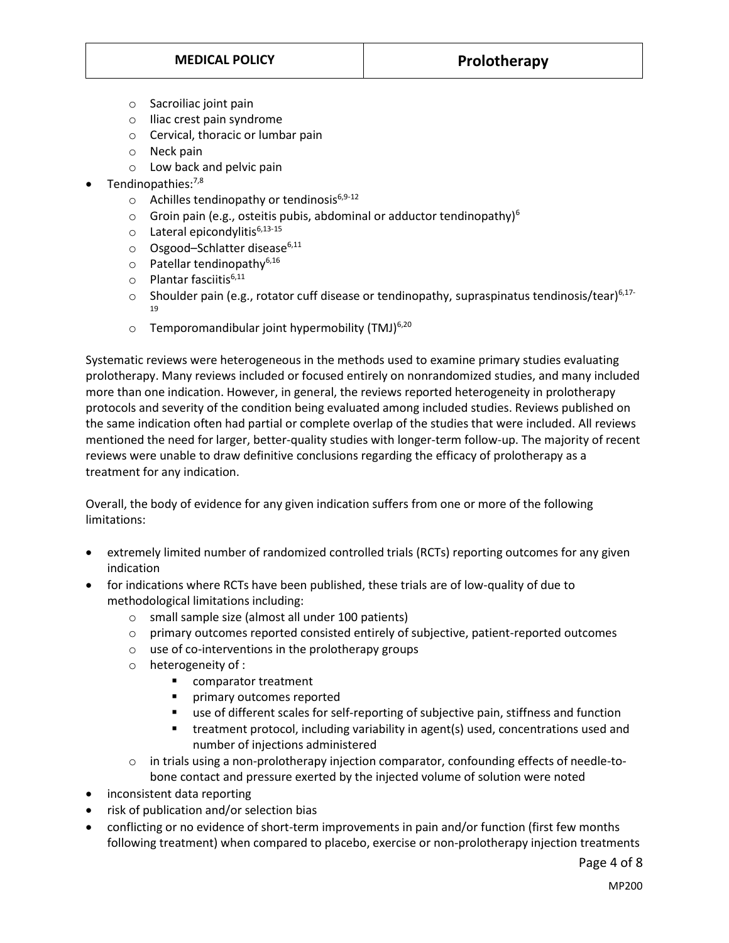- o Sacroiliac joint pain
- o Iliac crest pain syndrome
- o Cervical, thoracic or lumbar pain
- o Neck pain
- o Low back and pelvic pain
- Tendinopathies:<sup>7,8</sup>
	- $\circ$  Achilles tendinopathy or tendinosis<sup>6,9-12</sup>
	- $\circ$  Groin pain (e.g., osteitis pubis, abdominal or adductor tendinopathy)<sup>6</sup>
	- $\circ$  Lateral epicondylitis<sup>6,13-15</sup>
	- $\circ$  Osgood–Schlatter disease<sup>6,11</sup>
	- $\circ$  Patellar tendinopathy<sup>6,16</sup>
	- $\circ$  Plantar fasciitis<sup>6,11</sup>
	- $\circ$  Shoulder pain (e.g., rotator cuff disease or tendinopathy, supraspinatus tendinosis/tear)<sup>6,17-</sup> 19
	- $\circ$  Temporomandibular joint hypermobility (TMJ)<sup>6,20</sup>

Systematic reviews were heterogeneous in the methods used to examine primary studies evaluating prolotherapy. Many reviews included or focused entirely on nonrandomized studies, and many included more than one indication. However, in general, the reviews reported heterogeneity in prolotherapy protocols and severity of the condition being evaluated among included studies. Reviews published on the same indication often had partial or complete overlap of the studies that were included. All reviews mentioned the need for larger, better-quality studies with longer-term follow-up. The majority of recent reviews were unable to draw definitive conclusions regarding the efficacy of prolotherapy as a treatment for any indication.

Overall, the body of evidence for any given indication suffers from one or more of the following limitations:

- extremely limited number of randomized controlled trials (RCTs) reporting outcomes for any given indication
- for indications where RCTs have been published, these trials are of low-quality of due to methodological limitations including:
	- o small sample size (almost all under 100 patients)
	- $\circ$  primary outcomes reported consisted entirely of subjective, patient-reported outcomes
	- o use of co-interventions in the prolotherapy groups
	- o heterogeneity of :
		- comparator treatment<br>■ nrimary outcomes repo
		- primary outcomes reported
		- use of different scales for self-reporting of subjective pain, stiffness and function
		- treatment protocol, including variability in agent(s) used, concentrations used and number of injections administered
	- $\circ$  in trials using a non-prolotherapy injection comparator, confounding effects of needle-tobone contact and pressure exerted by the injected volume of solution were noted
- inconsistent data reporting
- risk of publication and/or selection bias
- conflicting or no evidence of short-term improvements in pain and/or function (first few months following treatment) when compared to placebo, exercise or non-prolotherapy injection treatments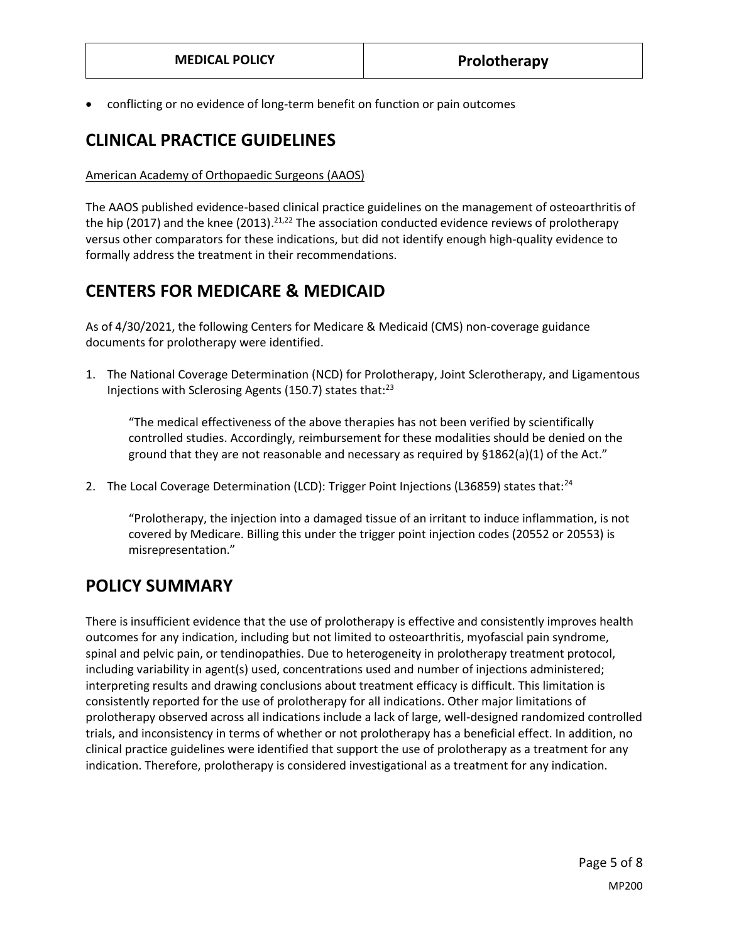conflicting or no evidence of long-term benefit on function or pain outcomes

## **CLINICAL PRACTICE GUIDELINES**

#### American Academy of Orthopaedic Surgeons (AAOS)

The AAOS published evidence-based clinical practice guidelines on the management of osteoarthritis of the hip (2017) and the knee (2013).<sup>21,22</sup> The association conducted evidence reviews of prolotherapy versus other comparators for these indications, but did not identify enough high-quality evidence to formally address the treatment in their recommendations.

### **CENTERS FOR MEDICARE & MEDICAID**

As of 4/30/2021, the following Centers for Medicare & Medicaid (CMS) non-coverage guidance documents for prolotherapy were identified.

1. The National Coverage Determination (NCD) for Prolotherapy, Joint Sclerotherapy, and Ligamentous Injections with Sclerosing Agents (150.7) states that: $^{23}$ 

"The medical effectiveness of the above therapies has not been verified by scientifically controlled studies. Accordingly, reimbursement for these modalities should be denied on the ground that they are not reasonable and necessary as required by §1862(a)(1) of the Act."

2. The Local Coverage Determination (LCD): Trigger Point Injections (L36859) states that:<sup>24</sup>

"Prolotherapy, the injection into a damaged tissue of an irritant to induce inflammation, is not covered by Medicare. Billing this under the trigger point injection codes (20552 or 20553) is misrepresentation."

### <span id="page-4-0"></span>**POLICY SUMMARY**

There is insufficient evidence that the use of prolotherapy is effective and consistently improves health outcomes for any indication, including but not limited to osteoarthritis, myofascial pain syndrome, spinal and pelvic pain, or tendinopathies. Due to heterogeneity in prolotherapy treatment protocol, including variability in agent(s) used, concentrations used and number of injections administered; interpreting results and drawing conclusions about treatment efficacy is difficult. This limitation is consistently reported for the use of prolotherapy for all indications. Other major limitations of prolotherapy observed across all indications include a lack of large, well-designed randomized controlled trials, and inconsistency in terms of whether or not prolotherapy has a beneficial effect. In addition, no clinical practice guidelines were identified that support the use of prolotherapy as a treatment for any indication. Therefore, prolotherapy is considered investigational as a treatment for any indication.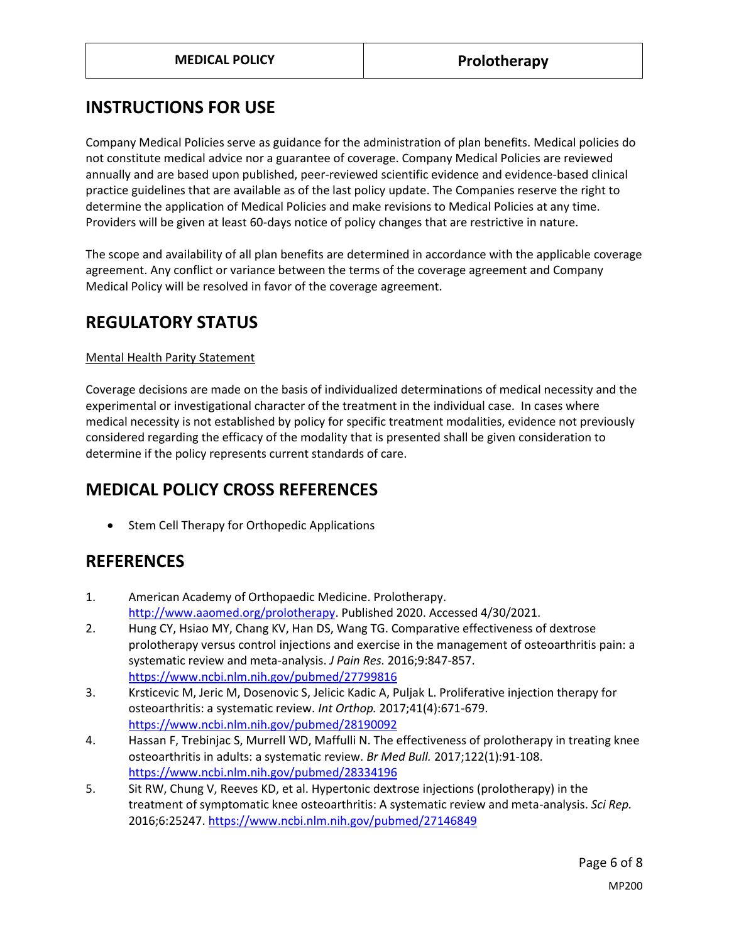## **INSTRUCTIONS FOR USE**

Company Medical Policies serve as guidance for the administration of plan benefits. Medical policies do not constitute medical advice nor a guarantee of coverage. Company Medical Policies are reviewed annually and are based upon published, peer-reviewed scientific evidence and evidence-based clinical practice guidelines that are available as of the last policy update. The Companies reserve the right to determine the application of Medical Policies and make revisions to Medical Policies at any time. Providers will be given at least 60-days notice of policy changes that are restrictive in nature.

The scope and availability of all plan benefits are determined in accordance with the applicable coverage agreement. Any conflict or variance between the terms of the coverage agreement and Company Medical Policy will be resolved in favor of the coverage agreement.

## **REGULATORY STATUS**

#### Mental Health Parity Statement

Coverage decisions are made on the basis of individualized determinations of medical necessity and the experimental or investigational character of the treatment in the individual case. In cases where medical necessity is not established by policy for specific treatment modalities, evidence not previously considered regarding the efficacy of the modality that is presented shall be given consideration to determine if the policy represents current standards of care.

## <span id="page-5-0"></span>**MEDICAL POLICY CROSS REFERENCES**

• Stem Cell Therapy for Orthopedic Applications

## **REFERENCES**

- 1. American Academy of Orthopaedic Medicine. Prolotherapy. [http://www.aaomed.org/prolotherapy.](http://www.aaomed.org/prolotherapy) Published 2020. Accessed 4/30/2021.
- 2. Hung CY, Hsiao MY, Chang KV, Han DS, Wang TG. Comparative effectiveness of dextrose prolotherapy versus control injections and exercise in the management of osteoarthritis pain: a systematic review and meta-analysis. *J Pain Res.* 2016;9:847-857. <https://www.ncbi.nlm.nih.gov/pubmed/27799816>
- 3. Krsticevic M, Jeric M, Dosenovic S, Jelicic Kadic A, Puljak L. Proliferative injection therapy for osteoarthritis: a systematic review. *Int Orthop.* 2017;41(4):671-679. <https://www.ncbi.nlm.nih.gov/pubmed/28190092>
- 4. Hassan F, Trebinjac S, Murrell WD, Maffulli N. The effectiveness of prolotherapy in treating knee osteoarthritis in adults: a systematic review. *Br Med Bull.* 2017;122(1):91-108. <https://www.ncbi.nlm.nih.gov/pubmed/28334196>
- 5. Sit RW, Chung V, Reeves KD, et al. Hypertonic dextrose injections (prolotherapy) in the treatment of symptomatic knee osteoarthritis: A systematic review and meta-analysis. *Sci Rep.*  2016;6:25247.<https://www.ncbi.nlm.nih.gov/pubmed/27146849>

Page 6 of 8 MP200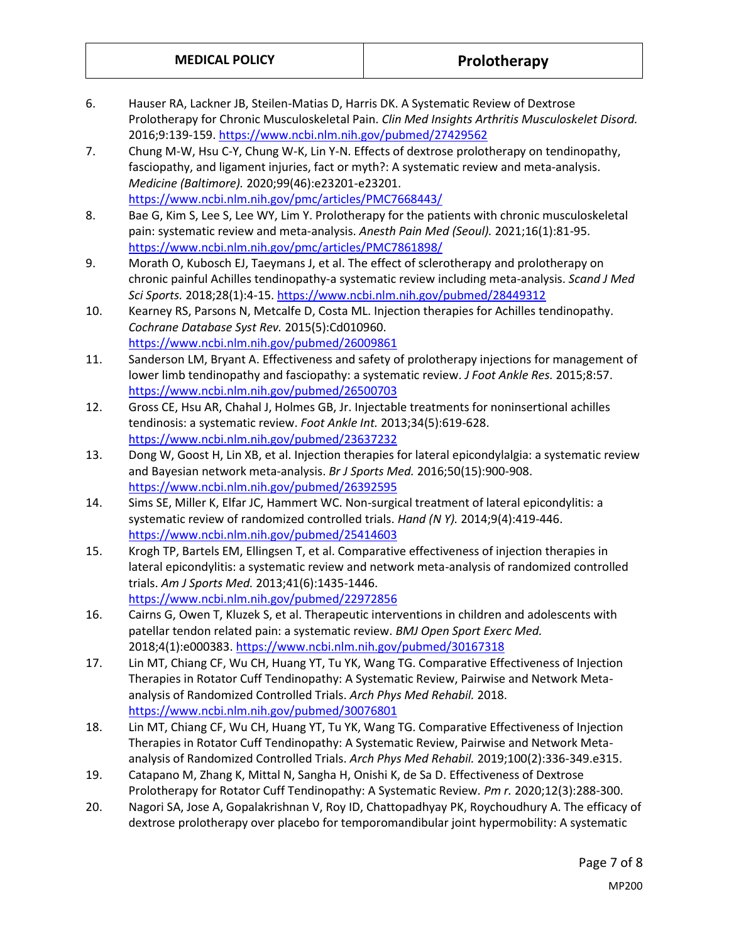- 6. Hauser RA, Lackner JB, Steilen-Matias D, Harris DK. A Systematic Review of Dextrose Prolotherapy for Chronic Musculoskeletal Pain. *Clin Med Insights Arthritis Musculoskelet Disord.*  2016;9:139-159.<https://www.ncbi.nlm.nih.gov/pubmed/27429562>
- 7. Chung M-W, Hsu C-Y, Chung W-K, Lin Y-N. Effects of dextrose prolotherapy on tendinopathy, fasciopathy, and ligament injuries, fact or myth?: A systematic review and meta-analysis. *Medicine (Baltimore).* 2020;99(46):e23201-e23201. <https://www.ncbi.nlm.nih.gov/pmc/articles/PMC7668443/>
- 8. Bae G, Kim S, Lee S, Lee WY, Lim Y. Prolotherapy for the patients with chronic musculoskeletal pain: systematic review and meta-analysis. *Anesth Pain Med (Seoul).* 2021;16(1):81-95. <https://www.ncbi.nlm.nih.gov/pmc/articles/PMC7861898/>
- 9. Morath O, Kubosch EJ, Taeymans J, et al. The effect of sclerotherapy and prolotherapy on chronic painful Achilles tendinopathy-a systematic review including meta-analysis. *Scand J Med Sci Sports.* 2018;28(1):4-15.<https://www.ncbi.nlm.nih.gov/pubmed/28449312>
- 10. Kearney RS, Parsons N, Metcalfe D, Costa ML. Injection therapies for Achilles tendinopathy. *Cochrane Database Syst Rev.* 2015(5):Cd010960. <https://www.ncbi.nlm.nih.gov/pubmed/26009861>
- 11. Sanderson LM, Bryant A. Effectiveness and safety of prolotherapy injections for management of lower limb tendinopathy and fasciopathy: a systematic review. *J Foot Ankle Res.* 2015;8:57. <https://www.ncbi.nlm.nih.gov/pubmed/26500703>
- 12. Gross CE, Hsu AR, Chahal J, Holmes GB, Jr. Injectable treatments for noninsertional achilles tendinosis: a systematic review. *Foot Ankle Int.* 2013;34(5):619-628. <https://www.ncbi.nlm.nih.gov/pubmed/23637232>
- 13. Dong W, Goost H, Lin XB, et al. Injection therapies for lateral epicondylalgia: a systematic review and Bayesian network meta-analysis. *Br J Sports Med.* 2016;50(15):900-908. <https://www.ncbi.nlm.nih.gov/pubmed/26392595>
- 14. Sims SE, Miller K, Elfar JC, Hammert WC. Non-surgical treatment of lateral epicondylitis: a systematic review of randomized controlled trials. *Hand (N Y).* 2014;9(4):419-446. <https://www.ncbi.nlm.nih.gov/pubmed/25414603>
- 15. Krogh TP, Bartels EM, Ellingsen T, et al. Comparative effectiveness of injection therapies in lateral epicondylitis: a systematic review and network meta-analysis of randomized controlled trials. *Am J Sports Med.* 2013;41(6):1435-1446. <https://www.ncbi.nlm.nih.gov/pubmed/22972856>
- 16. Cairns G, Owen T, Kluzek S, et al. Therapeutic interventions in children and adolescents with patellar tendon related pain: a systematic review. *BMJ Open Sport Exerc Med.*  2018;4(1):e000383.<https://www.ncbi.nlm.nih.gov/pubmed/30167318>
- 17. Lin MT, Chiang CF, Wu CH, Huang YT, Tu YK, Wang TG. Comparative Effectiveness of Injection Therapies in Rotator Cuff Tendinopathy: A Systematic Review, Pairwise and Network Metaanalysis of Randomized Controlled Trials. *Arch Phys Med Rehabil.* 2018. <https://www.ncbi.nlm.nih.gov/pubmed/30076801>
- 18. Lin MT, Chiang CF, Wu CH, Huang YT, Tu YK, Wang TG. Comparative Effectiveness of Injection Therapies in Rotator Cuff Tendinopathy: A Systematic Review, Pairwise and Network Metaanalysis of Randomized Controlled Trials. *Arch Phys Med Rehabil.* 2019;100(2):336-349.e315.
- 19. Catapano M, Zhang K, Mittal N, Sangha H, Onishi K, de Sa D. Effectiveness of Dextrose Prolotherapy for Rotator Cuff Tendinopathy: A Systematic Review. *Pm r.* 2020;12(3):288-300.
- 20. Nagori SA, Jose A, Gopalakrishnan V, Roy ID, Chattopadhyay PK, Roychoudhury A. The efficacy of dextrose prolotherapy over placebo for temporomandibular joint hypermobility: A systematic